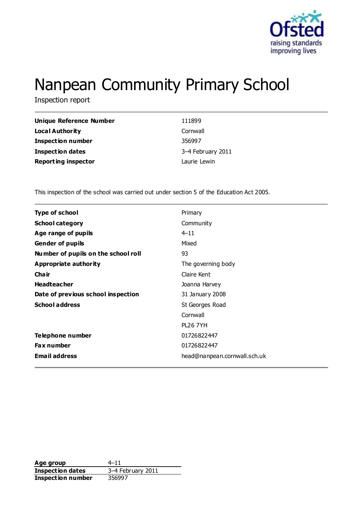

# Nanpean Community Primary School

Inspection report

| Unique Reference Number    | 111899            |
|----------------------------|-------------------|
| Local Authority            | Cornwall          |
| <b>Inspection number</b>   | 356997            |
| <b>Inspection dates</b>    | 3-4 February 2011 |
| <b>Reporting inspector</b> | Laurie Lewin      |

This inspection of the school was carried out under section 5 of the Education Act 2005.

| <b>Type of school</b>               | Primary                      |
|-------------------------------------|------------------------------|
| <b>School category</b>              | Community                    |
| Age range of pupils                 | $4 - 11$                     |
| <b>Gender of pupils</b>             | Mixed                        |
| Number of pupils on the school roll | 93                           |
| Appropriate authority               | The governing body           |
| Cha ir                              | Claire Kent                  |
| <b>Headteacher</b>                  | Joanna Harvey                |
| Date of previous school inspection  | 31 January 2008              |
| <b>School address</b>               | St Georges Road              |
|                                     | Cornwall                     |
|                                     | <b>PL26 7YH</b>              |
| Telephone number                    | 01726822447                  |
| <b>Fax number</b>                   | 01726822447                  |
| <b>Email address</b>                | head@nanpean.cornwall.sch.uk |
|                                     |                              |

**Age group** 4–11<br> **Inspection dates** 3–4 February 2011 **Inspection dates** 3–4 Feb<br>**Inspection number** 356997 **Inspection number**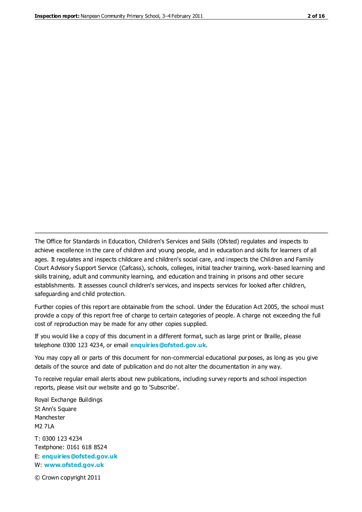The Office for Standards in Education, Children's Services and Skills (Ofsted) regulates and inspects to achieve excellence in the care of children and young people, and in education and skills for learners of all ages. It regulates and inspects childcare and children's social care, and inspects the Children and Family Court Advisory Support Service (Cafcass), schools, colleges, initial teacher training, work-based learning and skills training, adult and community learning, and education and training in prisons and other secure establishments. It assesses council children's services, and inspects services for looked after children, safeguarding and child protection.

Further copies of this report are obtainable from the school. Under the Education Act 2005, the school must provide a copy of this report free of charge to certain categories of people. A charge not exceeding the full cost of reproduction may be made for any other copies supplied.

If you would like a copy of this document in a different format, such as large print or Braille, please telephone 0300 123 4234, or email **[enquiries@ofsted.gov.uk](mailto:enquiries@ofsted.gov.uk)**.

You may copy all or parts of this document for non-commercial educational purposes, as long as you give details of the source and date of publication and do not alter the documentation in any way.

To receive regular email alerts about new publications, including survey reports and school inspection reports, please visit our website and go to 'Subscribe'.

Royal Exchange Buildings St Ann's Square Manchester M2 7LA T: 0300 123 4234 Textphone: 0161 618 8524 E: **[enquiries@ofsted.gov.uk](mailto:enquiries@ofsted.gov.uk)**

W: **[www.ofsted.gov.uk](http://www.ofsted.gov.uk/)**

© Crown copyright 2011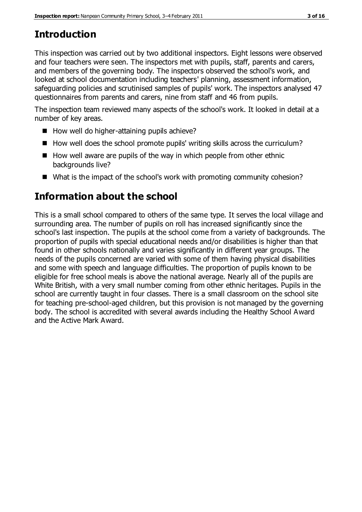# **Introduction**

This inspection was carried out by two additional inspectors. Eight lessons were observed and four teachers were seen. The inspectors met with pupils, staff, parents and carers, and members of the governing body. The inspectors observed the school's work, and looked at school documentation including teachers' planning, assessment information, safeguarding policies and scrutinised samples of pupils' work. The inspectors analysed 47 questionnaires from parents and carers, nine from staff and 46 from pupils.

The inspection team reviewed many aspects of the school's work. It looked in detail at a number of key areas.

- $\blacksquare$  How well do higher-attaining pupils achieve?
- $\blacksquare$  How well does the school promote pupils' writing skills across the curriculum?
- $\blacksquare$  How well aware are pupils of the way in which people from other ethnic backgrounds live?
- What is the impact of the school's work with promoting community cohesion?

# **Information about the school**

This is a small school compared to others of the same type. It serves the local village and surrounding area. The number of pupils on roll has increased significantly since the school's last inspection. The pupils at the school come from a variety of backgrounds. The proportion of pupils with special educational needs and/or disabilities is higher than that found in other schools nationally and varies significantly in different year groups. The needs of the pupils concerned are varied with some of them having physical disabilities and some with speech and language difficulties. The proportion of pupils known to be eligible for free school meals is above the national average. Nearly all of the pupils are White British, with a very small number coming from other ethnic heritages. Pupils in the school are currently taught in four classes. There is a small classroom on the school site for teaching pre-school-aged children, but this provision is not managed by the governing body. The school is accredited with several awards including the Healthy School Award and the Active Mark Award.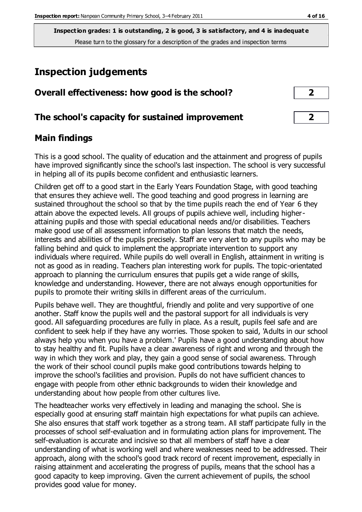## **Inspection judgements**

| Overall effectiveness: how good is the school? |  |  |  |
|------------------------------------------------|--|--|--|
|                                                |  |  |  |

#### **The school's capacity for sustained improvement 2**

#### **Main findings**

This is a good school. The quality of education and the attainment and progress of pupils have improved significantly since the school's last inspection. The school is very successful in helping all of its pupils become confident and enthusiastic learners.

Children get off to a good start in the Early Years Foundation Stage, with good teaching that ensures they achieve well. The good teaching and good progress in learning are sustained throughout the school so that by the time pupils reach the end of Year 6 they attain above the expected levels. All groups of pupils achieve well, including higherattaining pupils and those with special educational needs and/or disabilities. Teachers make good use of all assessment information to plan lessons that match the needs, interests and abilities of the pupils precisely. Staff are very alert to any pupils who may be falling behind and quick to implement the appropriate intervention to support any individuals where required. While pupils do well overall in English, attainment in writing is not as good as in reading. Teachers plan interesting work for pupils. The topic-orientated approach to planning the curriculum ensures that pupils get a wide range of skills, knowledge and understanding. However, there are not always enough opportunities for pupils to promote their writing skills in different areas of the curriculum.

Pupils behave well. They are thoughtful, friendly and polite and very supportive of one another. Staff know the pupils well and the pastoral support for all individuals is very good. All safeguarding procedures are fully in place. As a result, pupils feel safe and are confident to seek help if they have any worries. Those spoken to said, 'Adults in our school always help you when you have a problem.' Pupils have a good understanding about how to stay healthy and fit. Pupils have a clear awareness of right and wrong and through the way in which they work and play, they gain a good sense of social awareness. Through the work of their school council pupils make good contributions towards helping to improve the school's facilities and provision. Pupils do not have sufficient chances to engage with people from other ethnic backgrounds to widen their knowledge and understanding about how people from other cultures live.

The headteacher works very effectively in leading and managing the school. She is especially good at ensuring staff maintain high expectations for what pupils can achieve. She also ensures that staff work together as a strong team. All staff participate fully in the processes of school self-evaluation and in formulating action plans for improvement. The self-evaluation is accurate and incisive so that all members of staff have a clear understanding of what is working well and where weaknesses need to be addressed. Their approach, along with the school's good track record of recent improvement, especially in raising attainment and accelerating the progress of pupils, means that the school has a good capacity to keep improving. Given the current achievement of pupils, the school provides good value for money.

| 2 |  |
|---|--|
|   |  |
|   |  |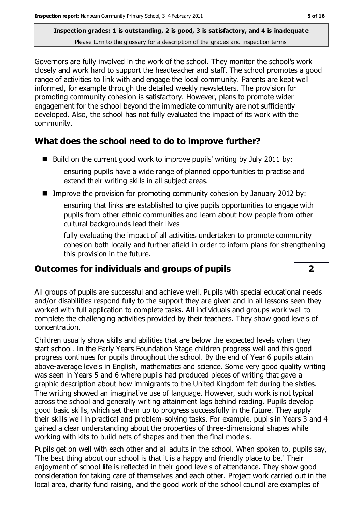Governors are fully involved in the work of the school. They monitor the school's work closely and work hard to support the headteacher and staff. The school promotes a good range of activities to link with and engage the local community. Parents are kept well informed, for example through the detailed weekly newsletters. The provision for promoting community cohesion is satisfactory. However, plans to promote wider engagement for the school beyond the immediate community are not sufficiently developed. Also, the school has not fully evaluated the impact of its work with the community.

## **What does the school need to do to improve further?**

- $\blacksquare$  Build on the current good work to improve pupils' writing by July 2011 by:
	- ensuring pupils have a wide range of planned opportunities to practise and extend their writing skills in all subject areas.
- Improve the provision for promoting community cohesion by January 2012 by:
	- $-$  ensuring that links are established to give pupils opportunities to engage with pupils from other ethnic communities and learn about how people from other cultural backgrounds lead their lives
	- fully evaluating the impact of all activities undertaken to promote community cohesion both locally and further afield in order to inform plans for strengthening this provision in the future.

## **Outcomes for individuals and groups of pupils 2**

All groups of pupils are successful and achieve well. Pupils with special educational needs and/or disabilities respond fully to the support they are given and in all lessons seen they worked with full application to complete tasks. All individuals and groups work well to complete the challenging activities provided by their teachers. They show good levels of concentration.

Children usually show skills and abilities that are below the expected levels when they start school. In the Early Years Foundation Stage children progress well and this good progress continues for pupils throughout the school. By the end of Year 6 pupils attain above-average levels in English, mathematics and science. Some very good quality writing was seen in Years 5 and 6 where pupils had produced pieces of writing that gave a graphic description about how immigrants to the United Kingdom felt during the sixties. The writing showed an imaginative use of language. However, such work is not typical across the school and generally writing attainment lags behind reading. Pupils develop good basic skills, which set them up to progress successfully in the future. They apply their skills well in practical and problem-solving tasks. For example, pupils in Years 3 and 4 gained a clear understanding about the properties of three-dimensional shapes while working with kits to build nets of shapes and then the final models.

Pupils get on well with each other and all adults in the school. When spoken to, pupils say, 'The best thing about our school is that it is a happy and friendly place to be.' Their enjoyment of school life is reflected in their good levels of attendance. They show good consideration for taking care of themselves and each other. Project work carried out in the local area, charity fund raising, and the good work of the school council are examples of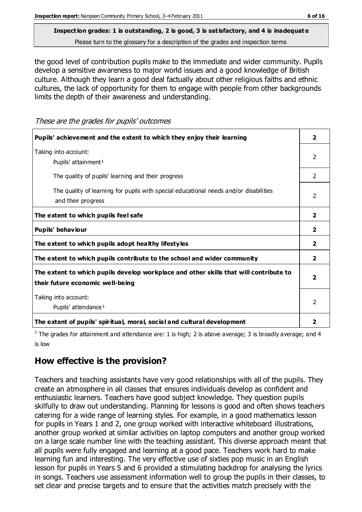# **Inspection grades: 1 is outstanding, 2 is good, 3 is satisfactory, and 4 is inadequat e**

Please turn to the glossary for a description of the grades and inspection terms

the good level of contribution pupils make to the immediate and wider community. Pupils develop a sensitive awareness to major world issues and a good knowledge of British culture. Although they learn a good deal factually about other religious faiths and ethnic cultures, the lack of opportunity for them to engage with people from other backgrounds limits the depth of their awareness and understanding.

These are the grades for pupils' outcomes

| Pupils' achievement and the extent to which they enjoy their learning                                                     | $\overline{2}$          |
|---------------------------------------------------------------------------------------------------------------------------|-------------------------|
| Taking into account:<br>Pupils' attainment <sup>1</sup>                                                                   | $\mathcal{P}$           |
| The quality of pupils' learning and their progress                                                                        | $\mathcal{P}$           |
| The quality of learning for pupils with special educational needs and/or disabilities<br>and their progress               | 2                       |
| The extent to which pupils feel safe                                                                                      | $\overline{2}$          |
| Pupils' behaviour                                                                                                         | $\overline{2}$          |
| The extent to which pupils adopt healthy lifestyles                                                                       | 2                       |
| The extent to which pupils contribute to the school and wider community                                                   | $\overline{2}$          |
| The extent to which pupils develop workplace and other skills that will contribute to<br>their future economic well-being | $\overline{\mathbf{2}}$ |
| Taking into account:<br>Pupils' attendance <sup>1</sup>                                                                   | 2                       |
| The extent of pupils' spiritual, moral, social and cultural development                                                   | 2                       |

<sup>1</sup> The grades for attainment and attendance are: 1 is high; 2 is above average; 3 is broadly average; and 4 is low

### **How effective is the provision?**

Teachers and teaching assistants have very good relationships with all of the pupils. They create an atmosphere in all classes that ensures individuals develop as confident and enthusiastic learners. Teachers have good subject knowledge. They question pupils skilfully to draw out understanding. Planning for lessons is good and often shows teachers catering for a wide range of learning styles. For example, in a good mathematics lesson for pupils in Years 1 and 2, one group worked with interactive whiteboard illustrations, another group worked at similar activities on laptop computers and another group worked on a large scale number line with the teaching assistant. This diverse approach meant that all pupils were fully engaged and learning at a good pace. Teachers work hard to make learning fun and interesting. The very effective use of sixties pop music in an English lesson for pupils in Years 5 and 6 provided a stimulating backdrop for analysing the lyrics in songs. Teachers use assessment information well to group the pupils in their classes, to set clear and precise targets and to ensure that the activities match precisely with the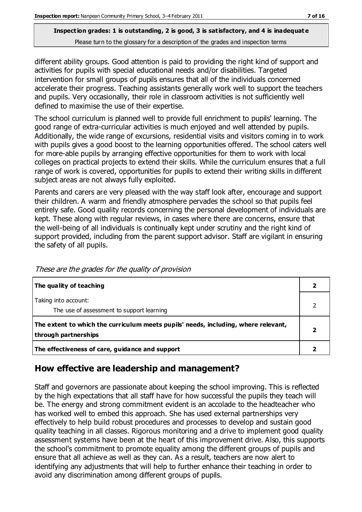different ability groups. Good attention is paid to providing the right kind of support and activities for pupils with special educational needs and/or disabilities. Targeted intervention for small groups of pupils ensures that all of the individuals concerned accelerate their progress. Teaching assistants generally work well to support the teachers and pupils. Very occasionally, their role in classroom activities is not sufficiently well defined to maximise the use of their expertise.

The school curriculum is planned well to provide full enrichment to pupils' learning. The good range of extra-curricular activities is much enjoyed and well attended by pupils. Additionally, the wide range of excursions, residential visits and visitors coming in to work with pupils gives a good boost to the learning opportunities offered. The school caters well for more-able pupils by arranging effective opportunities for them to work with local colleges on practical projects to extend their skills. While the curriculum ensures that a full range of work is covered, opportunities for pupils to extend their writing skills in different subject areas are not always fully exploited.

Parents and carers are very pleased with the way staff look after, encourage and support their children. A warm and friendly atmosphere pervades the school so that pupils feel entirely safe. Good quality records concerning the personal development of individuals are kept. These along with regular reviews, in cases where there are concerns, ensure that the well-being of all individuals is continually kept under scrutiny and the right kind of support provided, including from the parent support advisor. Staff are vigilant in ensuring the safety of all pupils.

| The quality of teaching                                                                                    |  |
|------------------------------------------------------------------------------------------------------------|--|
| Taking into account:<br>The use of assessment to support learning                                          |  |
| The extent to which the curriculum meets pupils' needs, including, where relevant,<br>through partnerships |  |
| The effectiveness of care, guidance and support                                                            |  |

These are the grades for the quality of provision

## **How effective are leadership and management?**

Staff and governors are passionate about keeping the school improving. This is reflected by the high expectations that all staff have for how successful the pupils they teach will be. The energy and strong commitment evident is an accolade to the headteacher who has worked well to embed this approach. She has used external partnerships very effectively to help build robust procedures and processes to develop and sustain good quality teaching in all classes. Rigorous monitoring and a drive to implement good quality assessment systems have been at the heart of this improvement drive. Also, this supports the school's commitment to promote equality among the different groups of pupils and ensure that all achieve as well as they can. As a result, teachers are now alert to identifying any adjustments that will help to further enhance their teaching in order to avoid any discrimination among different groups of pupils.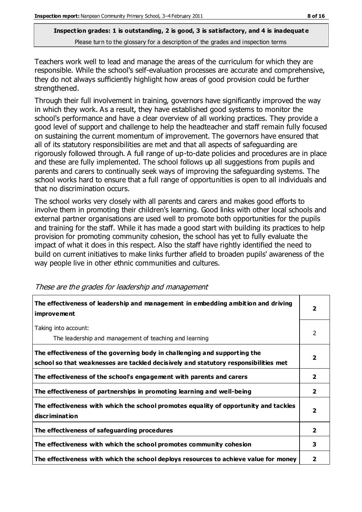Teachers work well to lead and manage the areas of the curriculum for which they are responsible. While the school's self-evaluation processes are accurate and comprehensive, they do not always sufficiently highlight how areas of good provision could be further strengthened.

Through their full involvement in training, governors have significantly improved the way in which they work. As a result, they have established good systems to monitor the school's performance and have a clear overview of all working practices. They provide a good level of support and challenge to help the headteacher and staff remain fully focused on sustaining the current momentum of improvement. The governors have ensured that all of its statutory responsibilities are met and that all aspects of safeguarding are rigorously followed through. A full range of up-to-date policies and procedures are in place and these are fully implemented. The school follows up all suggestions from pupils and parents and carers to continually seek ways of improving the safeguarding systems. The school works hard to ensure that a full range of opportunities is open to all individuals and that no discrimination occurs.

The school works very closely with all parents and carers and makes good efforts to involve them in promoting their children's learning. Good links with other local schools and external partner organisations are used well to promote both opportunities for the pupils and training for the staff. While it has made a good start with building its practices to help provision for promoting community cohesion, the school has yet to fully evaluate the impact of what it does in this respect. Also the staff have rightly identified the need to build on current initiatives to make links further afield to broaden pupils' awareness of the way people live in other ethnic communities and cultures.

| The effectiveness of leadership and management in embedding ambition and driving<br><b>improvement</b>                                                           | $\overline{\mathbf{2}}$ |
|------------------------------------------------------------------------------------------------------------------------------------------------------------------|-------------------------|
| Taking into account:<br>The leadership and management of teaching and learning                                                                                   | 2                       |
| The effectiveness of the governing body in challenging and supporting the<br>school so that weaknesses are tackled decisively and statutory responsibilities met | 2                       |
| The effectiveness of the school's engagement with parents and carers                                                                                             | 2                       |
| The effectiveness of partnerships in promoting learning and well-being                                                                                           | 2                       |
| The effectiveness with which the school promotes equality of opportunity and tackles<br><b>discrimination</b>                                                    | $\overline{\mathbf{2}}$ |
| The effectiveness of safeguarding procedures                                                                                                                     | 2                       |
| The effectiveness with which the school promotes community cohesion                                                                                              | 3                       |
| The effectiveness with which the school deploys resources to achieve value for money                                                                             | 2                       |

These are the grades for leadership and management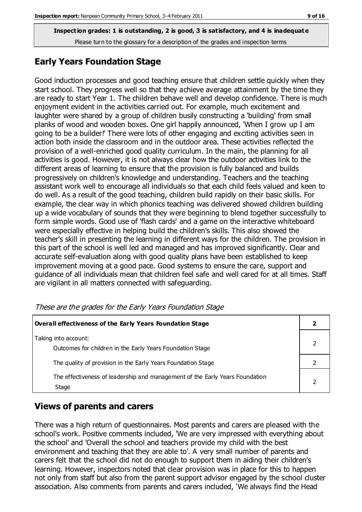#### **Early Years Foundation Stage**

Good induction processes and good teaching ensure that children settle quickly when they start school. They progress well so that they achieve average attainment by the time they are ready to start Year 1. The children behave well and develop confidence. There is much enjoyment evident in the activities carried out. For example, much excitement and laughter were shared by a group of children busily constructing a 'building' from small planks of wood and wooden boxes. One girl happily announced, 'When I grow up I am going to be a builder!' There were lots of other engaging and exciting activities seen in action both inside the classroom and in the outdoor area. These activities reflected the provision of a well-enriched good quality curriculum. In the main, the planning for all activities is good. However, it is not always clear how the outdoor activities link to the different areas of learning to ensure that the provision is fully balanced and builds progressively on children's knowledge and understanding. Teachers and the teaching assistant work well to encourage all individuals so that each child feels valued and keen to do well. As a result of the good teaching, children build rapidly on their basic skills. For example, the clear way in which phonics teaching was delivered showed children building up a wide vocabulary of sounds that they were beginning to blend together successfully to form simple words. Good use of 'flash cards' and a game on the interactive whiteboard were especially effective in helping build the children's skills. This also showed the teacher's skill in presenting the learning in different ways for the children. The provision in this part of the school is well led and managed and has improved significantly. Clear and accurate self-evaluation along with good quality plans have been established to keep improvement moving at a good pace. Good systems to ensure the care, support and guidance of all individuals mean that children feel safe and well cared for at all times. Staff are vigilant in all matters connected with safeguarding.

| <b>Overall effectiveness of the Early Years Foundation Stage</b>                      |  |  |
|---------------------------------------------------------------------------------------|--|--|
| Taking into account:<br>Outcomes for children in the Early Years Foundation Stage     |  |  |
| The quality of provision in the Early Years Foundation Stage                          |  |  |
| The effectiveness of leadership and management of the Early Years Foundation<br>Stage |  |  |

These are the grades for the Early Years Foundation Stage

#### **Views of parents and carers**

There was a high return of questionnaires. Most parents and carers are pleased with the school's work. Positive comments included, 'We are very impressed with everything about the school' and 'Overall the school and teachers provide my child with the best environment and teaching that they are able to'. A very small number of parents and carers felt that the school did not do enough to support them in aiding their children's learning. However, inspectors noted that clear provision was in place for this to happen not only from staff but also from the parent support advisor engaged by the school cluster association. Also comments from parents and carers included, 'We always find the Head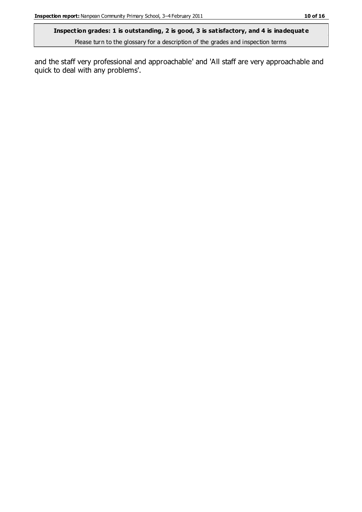Please turn to the glossary for a description of the grades and inspection terms

and the staff very professional and approachable' and 'All staff are very approachable and quick to deal with any problems'.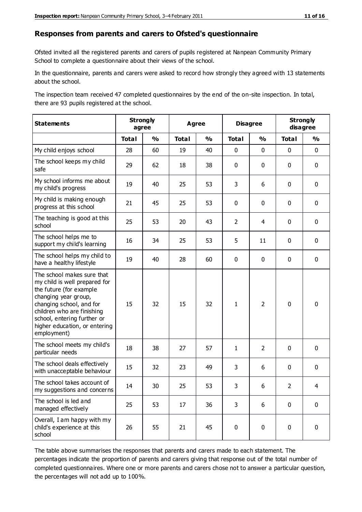#### **Responses from parents and carers to Ofsted's questionnaire**

Ofsted invited all the registered parents and carers of pupils registered at Nanpean Community Primary School to complete a questionnaire about their views of the school.

In the questionnaire, parents and carers were asked to record how strongly they agreed with 13 statements about the school.

The inspection team received 47 completed questionnaires by the end of the on-site inspection. In total, there are 93 pupils registered at the school.

| <b>Statements</b>                                                                                                                                                                                                                                       | <b>Strongly</b> | agree         |              | <b>Agree</b>            |                | <b>Disagree</b> |               | <b>Strongly</b><br>disagree |
|---------------------------------------------------------------------------------------------------------------------------------------------------------------------------------------------------------------------------------------------------------|-----------------|---------------|--------------|-------------------------|----------------|-----------------|---------------|-----------------------------|
|                                                                                                                                                                                                                                                         | <b>Total</b>    | $\frac{1}{2}$ | <b>Total</b> | $\mathbf{O}/\mathbf{o}$ | <b>Total</b>   | $\frac{1}{2}$   | <b>Total</b>  | $\frac{1}{2}$               |
| My child enjoys school                                                                                                                                                                                                                                  | 28              | 60            | 19           | 40                      | 0              | $\mathbf 0$     | $\mathbf 0$   | $\mathbf 0$                 |
| The school keeps my child<br>safe                                                                                                                                                                                                                       | 29              | 62            | 18           | 38                      | 0              | $\mathbf 0$     | $\mathbf 0$   | $\mathbf 0$                 |
| My school informs me about<br>my child's progress                                                                                                                                                                                                       | 19              | 40            | 25           | 53                      | 3              | 6               | $\mathbf 0$   | $\mathbf 0$                 |
| My child is making enough<br>progress at this school                                                                                                                                                                                                    | 21              | 45            | 25           | 53                      | 0              | 0               | $\mathbf 0$   | $\pmb{0}$                   |
| The teaching is good at this<br>school                                                                                                                                                                                                                  | 25              | 53            | 20           | 43                      | $\overline{2}$ | 4               | $\mathbf 0$   | $\mathbf 0$                 |
| The school helps me to<br>support my child's learning                                                                                                                                                                                                   | 16              | 34            | 25           | 53                      | 5              | 11              | 0             | $\mathbf 0$                 |
| The school helps my child to<br>have a healthy lifestyle                                                                                                                                                                                                | 19              | 40            | 28           | 60                      | 0              | 0               | $\mathbf 0$   | $\mathbf 0$                 |
| The school makes sure that<br>my child is well prepared for<br>the future (for example<br>changing year group,<br>changing school, and for<br>children who are finishing<br>school, entering further or<br>higher education, or entering<br>employment) | 15              | 32            | 15           | 32                      | $\mathbf{1}$   | $\overline{2}$  | $\mathbf 0$   | $\mathbf 0$                 |
| The school meets my child's<br>particular needs                                                                                                                                                                                                         | 18              | 38            | 27           | 57                      | $\mathbf{1}$   | $\overline{2}$  | $\mathbf 0$   | $\mathbf 0$                 |
| The school deals effectively<br>with unacceptable behaviour                                                                                                                                                                                             | 15              | 32            | 23           | 49                      | 3              | 6               | 0             | $\pmb{0}$                   |
| The school takes account of<br>my suggestions and concerns                                                                                                                                                                                              | 14              | 30            | 25           | 53                      | 3              | 6               | $\mathcal{P}$ | 4                           |
| The school is led and<br>managed effectively                                                                                                                                                                                                            | 25              | 53            | 17           | 36                      | 3              | 6               | $\mathbf 0$   | $\mathbf 0$                 |
| Overall, I am happy with my<br>child's experience at this<br>school                                                                                                                                                                                     | 26              | 55            | 21           | 45                      | 0              | $\pmb{0}$       | $\mathbf 0$   | $\mathbf 0$                 |

The table above summarises the responses that parents and carers made to each statement. The percentages indicate the proportion of parents and carers giving that response out of the total number of completed questionnaires. Where one or more parents and carers chose not to answer a particular question, the percentages will not add up to 100%.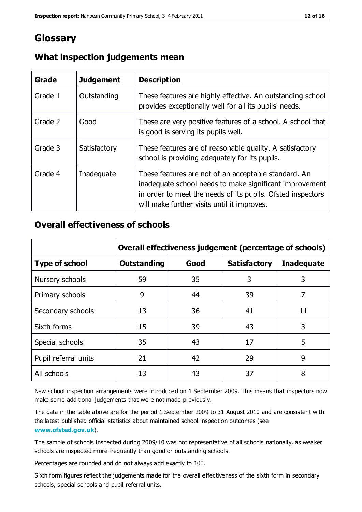## **Glossary**

| Grade   | <b>Judgement</b> | <b>Description</b>                                                                                                                                                                                                            |
|---------|------------------|-------------------------------------------------------------------------------------------------------------------------------------------------------------------------------------------------------------------------------|
| Grade 1 | Outstanding      | These features are highly effective. An outstanding school<br>provides exceptionally well for all its pupils' needs.                                                                                                          |
| Grade 2 | Good             | These are very positive features of a school. A school that<br>is good is serving its pupils well.                                                                                                                            |
| Grade 3 | Satisfactory     | These features are of reasonable quality. A satisfactory<br>school is providing adequately for its pupils.                                                                                                                    |
| Grade 4 | Inadequate       | These features are not of an acceptable standard. An<br>inadequate school needs to make significant improvement<br>in order to meet the needs of its pupils. Ofsted inspectors<br>will make further visits until it improves. |

#### **What inspection judgements mean**

#### **Overall effectiveness of schools**

|                       | Overall effectiveness judgement (percentage of schools) |      |                     |                   |
|-----------------------|---------------------------------------------------------|------|---------------------|-------------------|
| <b>Type of school</b> | <b>Outstanding</b>                                      | Good | <b>Satisfactory</b> | <b>Inadequate</b> |
| Nursery schools       | 59                                                      | 35   | 3                   | 3                 |
| Primary schools       | 9                                                       | 44   | 39                  | 7                 |
| Secondary schools     | 13                                                      | 36   | 41                  | 11                |
| Sixth forms           | 15                                                      | 39   | 43                  | 3                 |
| Special schools       | 35                                                      | 43   | 17                  | 5                 |
| Pupil referral units  | 21                                                      | 42   | 29                  | 9                 |
| All schools           | 13                                                      | 43   | 37                  | 8                 |

New school inspection arrangements were introduced on 1 September 2009. This means that inspectors now make some additional judgements that were not made previously.

The data in the table above are for the period 1 September 2009 to 31 August 2010 and are consistent with the latest published official statistics about maintained school inspec tion outcomes (see **[www.ofsted.gov.uk](http://www.ofsted.gov.uk/)**).

The sample of schools inspected during 2009/10 was not representative of all schools nationally, as weaker schools are inspected more frequently than good or outstanding schools.

Percentages are rounded and do not always add exactly to 100.

Sixth form figures reflect the judgements made for the overall effectiveness of the sixth form in secondary schools, special schools and pupil referral units.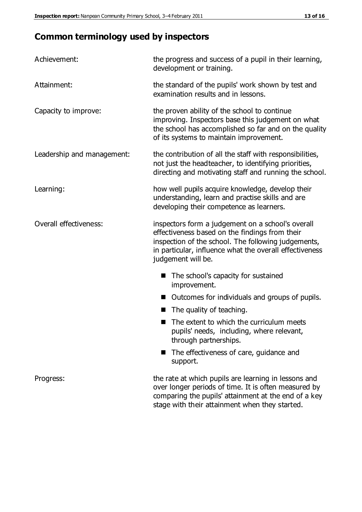# **Common terminology used by inspectors**

| Achievement:               | the progress and success of a pupil in their learning,<br>development or training.                                                                                                                                                          |  |  |
|----------------------------|---------------------------------------------------------------------------------------------------------------------------------------------------------------------------------------------------------------------------------------------|--|--|
| Attainment:                | the standard of the pupils' work shown by test and<br>examination results and in lessons.                                                                                                                                                   |  |  |
| Capacity to improve:       | the proven ability of the school to continue<br>improving. Inspectors base this judgement on what<br>the school has accomplished so far and on the quality<br>of its systems to maintain improvement.                                       |  |  |
| Leadership and management: | the contribution of all the staff with responsibilities,<br>not just the headteacher, to identifying priorities,<br>directing and motivating staff and running the school.                                                                  |  |  |
| Learning:                  | how well pupils acquire knowledge, develop their<br>understanding, learn and practise skills and are<br>developing their competence as learners.                                                                                            |  |  |
| Overall effectiveness:     | inspectors form a judgement on a school's overall<br>effectiveness based on the findings from their<br>inspection of the school. The following judgements,<br>in particular, influence what the overall effectiveness<br>judgement will be. |  |  |
|                            | The school's capacity for sustained<br>improvement.                                                                                                                                                                                         |  |  |
|                            | Outcomes for individuals and groups of pupils.                                                                                                                                                                                              |  |  |
|                            | The quality of teaching.                                                                                                                                                                                                                    |  |  |
|                            | The extent to which the curriculum meets<br>pupils' needs, including, where relevant,<br>through partnerships.                                                                                                                              |  |  |
|                            | The effectiveness of care, guidance and<br>support.                                                                                                                                                                                         |  |  |
| Progress:                  | the rate at which pupils are learning in lessons and<br>over longer periods of time. It is often measured by<br>comparing the pupils' attainment at the end of a key                                                                        |  |  |

stage with their attainment when they started.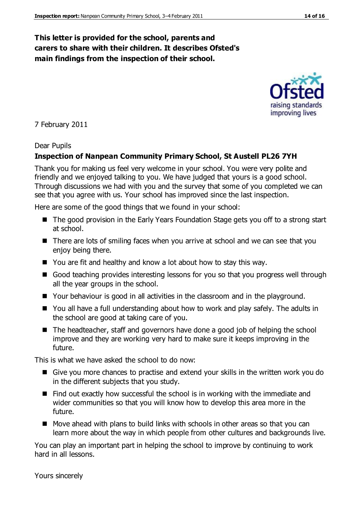#### **This letter is provided for the school, parents and carers to share with their children. It describes Ofsted's main findings from the inspection of their school.**

#### 7 February 2011

#### Dear Pupils

#### **Inspection of Nanpean Community Primary School, St Austell PL26 7YH**

Thank you for making us feel very welcome in your school. You were very polite and friendly and we enjoyed talking to you. We have judged that yours is a good school. Through discussions we had with you and the survey that some of you completed we can see that you agree with us. Your school has improved since the last inspection.

Here are some of the good things that we found in your school:

- The good provision in the Early Years Foundation Stage gets you off to a strong start at school.
- There are lots of smiling faces when you arrive at school and we can see that you enjoy being there.
- You are fit and healthy and know a lot about how to stay this way.
- Good teaching provides interesting lessons for you so that you progress well through all the year groups in the school.
- Your behaviour is good in all activities in the classroom and in the playground.
- You all have a full understanding about how to work and play safely. The adults in the school are good at taking care of you.
- The headteacher, staff and governors have done a good job of helping the school improve and they are working very hard to make sure it keeps improving in the future.

This is what we have asked the school to do now:

- Give you more chances to practise and extend your skills in the written work you do in the different subjects that you study.
- $\blacksquare$  Find out exactly how successful the school is in working with the immediate and wider communities so that you will know how to develop this area more in the future.
- Move ahead with plans to build links with schools in other areas so that you can learn more about the way in which people from other cultures and backgrounds live.

You can play an important part in helping the school to improve by continuing to work hard in all lessons.

Yours sincerely

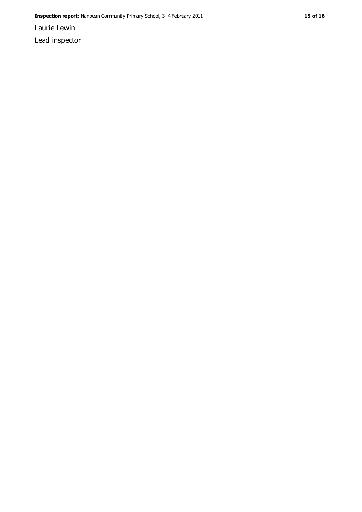Laurie Lewin Lead inspector